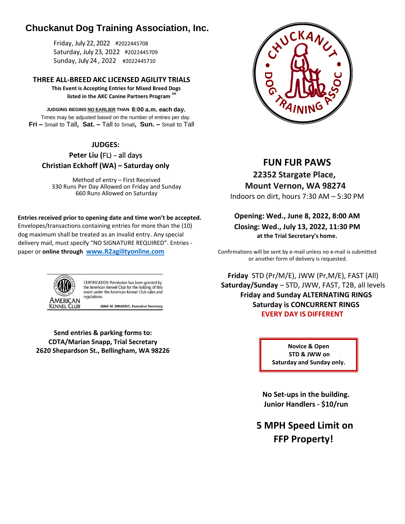# **Chuckanut Dog Training Association, Inc.**

Friday, July 22, 2022 #2022445708 Saturday, July 23, 2022 #2022445709 Sunday, July 24 , 2022 #2022445710

**THREE ALL-BREED AKC LICENSED AGILITY TRIALS This Event is Accepting Entries for Mixed Breed Dogs listed in the AKC Canine Partners Program SM**

**JUDGING BEGINS NO EARLIER THAN 8:00 a.m. each day.** Times may be adjusted based on the number of entries per day. **Fri –** Small to Tall**, Sat. –** Tall to Small**, Sun. –** Small to Tall

## **JUDGES:**

**Peter Liu (**FL) – all days **Christian Eckhoff (WA) – Saturday only**

Method of entry – First Received 330 Runs Per Day Allowed on Friday and Sunday 660 Runs Allowed on Saturday

### **Entries received prior to opening date and time won't be accepted.**

Envelopes/transactions containing entries for more than the (10) dog maximum shall be treated as an invalid entry. Any special delivery mail, must specify "NO SIGNATURE REQUIRED". Entries paper or **online through [www.R2agilityonline.com](http://www.r2agilityonline.com/)**



CERTIFICATION Permission has been granted by the American Kennel Club for the holding of this event under the American Kennel Club rules and regulations.

**GINA M. DINARDO, Executive Secretary** 

**Send entries & parking forms to: CDTA/Marian Snapp, Trial Secretary 2620 Shepardson St., Bellingham, WA 98226** Movice & Open



## **FUN FUR PAWS**

**22352 Stargate Place, Mount Vernon, WA 98274** Indoors on dirt, hours 7:30 AM – 5:30 PM

**Opening: Wed., June 8, 2022, 8:00 AM Closing: Wed., July 13, 2022, 11:30 PM at the Trial Secretary's home.**

Confirmations will be sent by e-mail unless no e-mail is submitted or another form of delivery is requested.

**Friday** STD (Pr/M/E), JWW (Pr,M/E), FAST (All) **Saturday/Sunday** – STD, JWW, FAST, T2B, all levels **Friday and Sunday ALTERNATING RINGS Saturday is CONCURRENT RINGS EVERY DAY IS DIFFERENT**

> **STD & JWW on Saturday and Sunday only.**

**No Set-ups in the building. Junior Handlers - \$10/run**

**5 MPH Speed Limit on FFP Property!**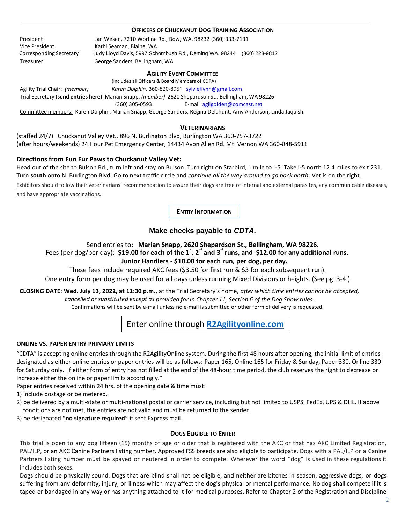#### **OFFICERS OF CHUCKANUT DOG TRAINING ASSOCIATION**

President Jan Wesen, 7210 Worline Rd., Bow, WA, 98232 (360) 333-7131 Vice President Kathi Seaman, Blaine, WA Corresponding Secretary Judy Lloyd Davis, 5997 Schornbush Rd., Deming WA, 98244 (360) 223-9812 Treasurer George Sanders, Bellingham, WA

#### **AGILITY EVENT COMMITTEE**

(Includes all Officers & Board Members of CDTA)

Agility Trial Chair: *(member) Karen Dolphin,* 360-820-8951 [sylvieflynn@gmail.com](mailto:sylvieflynn@gmail.com) Trial Secretary (**send entries here**): Marian Snapp, *(member)* 2620 Shepardson St., Bellingham, WA 98226 (360) 305-0593 E-mail [agilgolden@comcast.net](mailto:agilgolden@gmail.com) Committee members: Karen Dolphin, Marian Snapp, George Sanders, Regina Delahunt, Amy Anderson, Linda Jaquish.

#### **VETERINARIANS**

(staffed 24/7) Chuckanut Valley Vet., 896 N. Burlington Blvd, Burlington WA 360-757-3722 (after hours/weekends) 24 Hour Pet Emergency Center, 14434 Avon Allen Rd. Mt. Vernon WA 360-848-5911

#### **Directions from Fun Fur Paws to Chuckanut Valley Vet:**

Head out of the site to Bulson Rd., turn left and stay on Bulson. Turn right on Starbird, 1 mile to I-5. Take I-5 north 12.4 miles to exit 231. Turn **south** onto N. Burlington Blvd. Go to next traffic circle and *continue all the way around to go back north*. Vet is on the right.

Exhibitors should follow their veterinarians' recommendation to assure their dogs are free of internal and external parasites, any communicable diseases, and have appropriate vaccinations.

 **ENTRY INFORMATION**

## **Make checks payable to** *CDTA***.**

#### Send entries to: **Marian Snapp, 2620 Shepardson St., Bellingham, WA 98226.**

## Fees (per dog/per day): \$19.00 for each of the 1<sup>\*</sup>, 2<sup>d</sup> and 3<sup>d</sup> runs, and \$12.00 for any additional runs. **Junior Handlers - \$10.00 for each run, per dog, per day.**

These fees include required AKC fees (\$3.50 for first run & \$3 for each subsequent run). One entry form per dog may be used for all days unless running Mixed Divisions or heights. (See pg. 3-4.)

**CLOSING DATE**: **Wed. July 13, 2022, at 11:30 p.m.**, at the Trial Secretary's home, *after which time entries cannot be accepted, cancelled or substituted except as provided for in Chapter 11, Section 6 of the Dog Show rules.* Confirmations will be sent by e-mail unless no e-mail is submitted or other form of delivery is requested.

## Enter online through **[R2Agilityonline.com](https://r2agilityonline.com/)**

#### **ONLINE VS. PAPER ENTRY PRIMARY LIMITS**

"CDTA" is accepting online entries through the R2AgilityOnline system. During the first 48 hours after opening, the initial limit of entries designated as either online entries or paper entries will be as follows: Paper 165, Online 165 for Friday & Sunday, Paper 330, Online 330 for Saturday only. If either form of entry has not filled at the end of the 48-hour time period, the club reserves the right to decrease or increase either the online or paper limits accordingly."

Paper entries received within 24 hrs. of the opening date & time must:

1) include postage or be metered.

2) be delivered by a multi-state or multi-national postal or carrier service, including but not limited to USPS, FedEx, UPS & DHL. If above conditions are not met, the entries are not valid and must be returned to the sender.

3) be designated **"no signature required"** if sent Express mail.

#### **DOGS ELIGIBLE TO ENTER**

This trial is open to any dog fifteen (15) months of age or older that is registered with the AKC or that has AKC Limited Registration, PAL/ILP, or an AKC Canine Partners listing number. Approved FSS breeds are also eligible to participate. Dogs with a PAL/ILP or a Canine Partners listing number must be spayed or neutered in order to compete. Wherever the word "dog" is used in these regulations it includes both sexes.

Dogs should be physically sound. Dogs that are blind shall not be eligible, and neither are bitches in season, aggressive dogs, or dogs suffering from any deformity, injury, or illness which may affect the dog's physical or mental performance. No dog shall compete if it is taped or bandaged in any way or has anything attached to it for medical purposes. Refer to Chapter 2 of the Registration and Discipline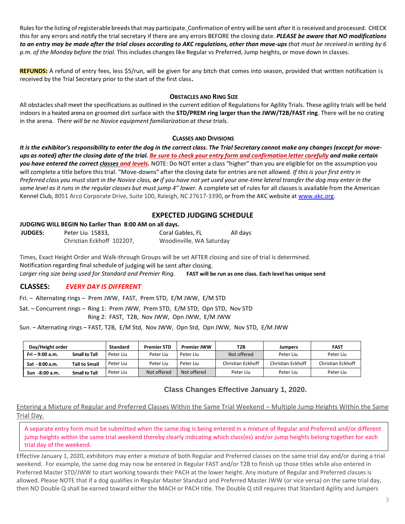Rules for the listing of registerable breeds that may participate. Confirmation of entry will be sent after it is received and processed. CHECK this for any errors and notify the trial secretary if there are any errors BEFORE the closing date. *PLEASE be aware that NO modifications* to an entry may be made after the trial closes according to AKC regulations, other than move-ups that must be received in writing by 6 *p.m. of the Monday before the trial.* This includes changes like Regular vs Preferred, Jump heights, or move down in classes.

**REFUNDS:** A refund of entry fees, less \$5/run, will be given for any bitch that comes into season, provided that written notification is received by the Trial Secretary prior to the start of the first class**.**

### **OBSTACLES AND RING SIZE**

All obstaclesshall meet the specifications as outlined in the current edition of Regulations for Agility Trials. These agility trials will be held indoors in a heated arena on groomed dirt surface with the **STD/PREM ring larger than the JWW/T2B/FAST ring**. There will be no crating in the arena. *There will be no Novice equipment familiarization at these trials.*

### **CLASSES AND DIVISIONS**

It is the exhibitor's responsibility to enter the dog in the correct class. The Trial Secretary cannot make any changes (except for moveups as noted) after the closing date of the trial. Be sure to check your entry form and confirmation letter carefully and make certain *you have entered the correct classes and levels.* NOTE: Do NOT enter a class "higher" than you are eligible for on the assumption you will complete a title before this trial. "Move-downs" after the closing date for entries are not allowed. *If this is your first entry in*  Preferred class you must start in the Novice class, or if you have not yet used your one-time lateral transfer the dog may enter in the same level as it runs in the regular classes but must jump 4" lower. A complete set of rules for all classes is available from the American Kennel Club, 8051 Arco Corporate Drive, Suite 100, Raleigh, NC 27617-3390, or from the AKC website at [www.akc.org.](http://www.akc.org/)

## **EXPECTED JUDGING SCHEDULE**

### **JUDGING WILL BEGIN No Earlier Than 8:00 AM on all days.**

| <b>JUDGES:</b> | Peter Liu 15833,          | Coral Gables, FL         | All days |
|----------------|---------------------------|--------------------------|----------|
|                | Christian Eckhoff 102207, | Woodinville, WA Saturday |          |

Times, Exact Height Order and Walk-through Groups will be set AFTER closing and size of trial is determined. Notification regarding final schedule of judging will be sent after closing. *Larger ring size being used for Standard and Premier Ring.* **FAST will be run as one class. Each level has unique send**

## **CLASSES:** *EVERY DAY IS DIFFERENT*

Fri. – Alternating rings – Prem JWW, FAST, Prem STD, E/M JWW, E/M STD

 Sat. – Concurrent rings – Ring 1: Prem JWW, Prem STD, E/M STD, Opn STD, Nov STD Ring 2: FAST, T2B, Nov JWW, Opn JWW, E/M JWW

Sun. – Alternating rings – FAST, T2B, E/M Std, Nov JWW, Opn Std, Opn JWW, Nov STD, E/M JWW

| Day/Height order |                      | <b>Standard</b> | <b>Premier STD</b> | <b>Premier JWW</b> | T2B               | <b>Jumpers</b>    | <b>FAST</b>              |
|------------------|----------------------|-----------------|--------------------|--------------------|-------------------|-------------------|--------------------------|
| $Fi - 9:00 a.m.$ | <b>Small to Tall</b> | Peter Liu       | Peter Liu          | Peter Liu          | Not offered       | Peter Liu         | Peter Liu                |
| Sat - 8:00 a.m.  | <b>Tall to Small</b> | Peter Liu       | Peter Liu          | Peter Liu          | Christian Eckhoff | Christian Eckhoff | <b>Christian Eckhoff</b> |
| Sun -8:00 a.m.   | <b>Small to Tall</b> | Peter Liu       | Not offered        | Not offered        | Peter Liu         | Peter Liu         | Peter Liu                |

## **Class Changes Effective January 1, 2020.**

Entering a Mixture of Regular and Preferred Classes Within the Same Trial Weekend – Multiple Jump Heights Within the Same Trial Day.

A separate entry form must be submitted when the same dog is being entered in a mixture of Regular and Preferred and/or different jump heights within the same trial weekend thereby clearly indicating which class(es) and/or jump heights belong together for each trial day of the weekend.

Effective January 1, 2020, exhibitors may enter a mixture of both Regular and Preferred classes on the same trial day and/or during a trial weekend. For example, the same dog may now be entered in Regular FAST and/or T2B to finish up those titles while also entered in Preferred Master STD/JWW to start working towards their PACH at the lower height. Any mixture of Regular and Preferred classes is allowed. Please NOTE that if a dog qualifies in Regular Master Standard and Preferred Master JWW (or vice versa) on the same trial day, then NO Double Q shall be earned toward either the MACH or PACH title. The Double Q still requires that Standard Agility and Jumpers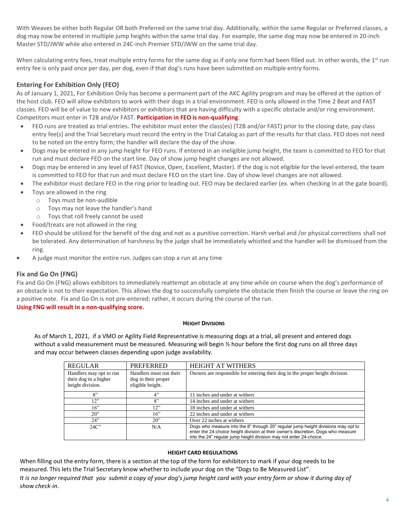With Weaves be either both Regular OR both Preferred on the same trial day. Additionally, within the same Regular or Preferred classes, a dog may now be entered in multiple jump heights within the same trial day. For example, the same dog may now be entered in 20-inch Master STD/JWW while also entered in 24C-inch Premier STD/JWW on the same trial day.

When calculating entry fees, treat multiple entry forms for the same dog as if only one form had been filled out. In other words, the 1<sup>st</sup> run entry fee is only paid once per day, per dog, even if that dog's runs have been submitted on multiple entry forms.

## **Entering For Exhibition Only (FEO)**

As of January 1, 2021, For Exhibition Only has become a permanent part of the AKC Agility program and may be offered at the option of the host club. FEO will allow exhibitors to work with their dogs in a trial environment. FEO is only allowed in the Time 2 Beat and FAST classes. FEO will be of value to new exhibitors or exhibitors that are having difficulty with a specific obstacle and/or ring environment. Competitors must enter in T2B and/or FAST. **Participation in FEO is non-qualifying**.

- FEO runs are treated as trial entries. The exhibitor must enter the class(es) (T2B and/or FAST) prior to the closing date, pay class entry fee(s) and the Trial Secretary must record the entry in the Trial Catalog as part of the results for that class. FEO does not need to be noted on the entry form; the handler will declare the day of the show.
- Dogs may be entered in any jump height for FEO runs. If entered in an ineligible jump height, the team is committed to FEO for that run and must declare FEO on the start line. Day of show jump height changes are not allowed.
- Dogs may be entered in any level of FAST (Novice, Open, Excellent, Master). If the dog is not eligible for the level entered, the team is committed to FEO for that run and must declare FEO on the start line. Day of show level changes are not allowed.
- The exhibitor must declare FEO in the ring prior to leading out. FEO may be declared earlier (ex. when checking in at the gate board).
- Toys are allowed in the ring
	- o Toys must be non-audible
	- o Toys may not leave the handler's hand
	- o Toys that roll freely cannot be used
- Food/treats are not allowed in the ring
- FEO should be utilized for the benefit of the dog and not as a punitive correction. Harsh verbal and /or physical corrections shall not be tolerated. Any determination of harshness by the judge shall be immediately whistled and the handler will be dismissed from the ring.
- A judge must monitor the entire run. Judges can stop a run at any time

## **Fix and Go On (FNG)**

Fix and Go On (FNG) allows exhibitors to immediately reattempt an obstacle at any time while on course when the dog's performance of an obstacle is not to their expectation. This allows the dog to successfully complete the obstacle then finish the course or leave the ring on a positive note. Fix and Go On is not pre-entered; rather, it occurs during the course of the run. **Using FNG will result in a non-qualifying score.**

#### **HEIGHT DIVISIONS**

As of March 1, 2021, if a VMO or Agility Field Representative is measuring dogs at a trial, all present and entered dogs without a valid measurement must be measured. Measuring will begin  $\frac{1}{2}$  hour before the first dog runs on all three days and may occur between classes depending upon judge availability.

| <b>REGULAR</b>          | <b>PREFERRED</b>        | <b>HEIGHT AT WITHERS</b>                                                                                                                                                                                                                     |
|-------------------------|-------------------------|----------------------------------------------------------------------------------------------------------------------------------------------------------------------------------------------------------------------------------------------|
| Handlers may opt to run | Handlers must run their | Owners are responsible for entering their dog in the proper height division.                                                                                                                                                                 |
| their dog in a higher   | dog in their proper     |                                                                                                                                                                                                                                              |
| height division.        | eligible height.        |                                                                                                                                                                                                                                              |
| 8"                      | 4"                      | 11 inches and under at withers                                                                                                                                                                                                               |
| 12"                     | $^{O}}$                 | 14 inches and under at withers                                                                                                                                                                                                               |
| 16"                     | 12"                     | 18 inches and under at withers                                                                                                                                                                                                               |
| $20$ "                  | 16"                     | 22 inches and under at withers                                                                                                                                                                                                               |
| 24"                     | $20$ "                  | Over 22 inches at withers                                                                                                                                                                                                                    |
| 24C                     | N/A                     | Dogs who measure into the 8" through 20" regular jump height divisions may opt to<br>enter the 24-choice height division at their owner's discretion. Dogs who measure<br>into the 24" regular jump height division may not enter 24-choice. |

#### **HEIGHT CARD REGULATIONS**

When filling out the entry form, there is a section at the top of the form for exhibitors to mark if your dog needs to be measured. This lets the Trial Secretary know whether to include your dog on the "Dogs to Be Measured List". *It is no longer required that you submit a copy of your dog's jump height card with your entry form or show it during day of show check-in*.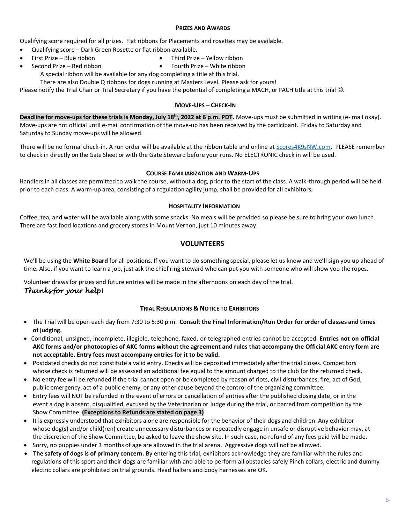#### **PRIZES AND AWARDS**

Qualifying score required for all prizes. Flat ribbons for Placements and rosettes may be available.

- Qualifying score Dark Green Rosette or flat ribbon available.
- First Prize Blue ribbon Third Prize Yellow ribbon
- Second Prize Red ribbon Fourth Prize White ribbon
	- A special ribbon will be available for any dog completing a title at this trial.

There are also Double Q ribbons for dogs running at Masters Level. Please ask for yours!

Please notify the Trial Chair or Trial Secretary if you have the potential of completing a MACH, or PACH title at this trial  $\odot$ .

## **MOVE-UPS – CHECK-IN**

**Deadline for move-ups for these trials is Monday, July 18th , 2022 at 6 p.m. PDT.** Move-ups must be submitted in writing (e- mail okay). Move-ups are not official until e-mail confirmation of the move-up has been received by the participant. Friday to Saturday and Saturday to Sunday move-ups will be allowed.

There will be no formal check-in. A run order will be available at the ribbon table and online at [Scores4K9sNW.com.](file:///C:/Users/agilg/Documents/AKC%20Trials%206-2016%20on/!%20May%202021/https/scores4k9snw.com) PLEASE remember to check in directly on the Gate Sheet or with the Gate Steward before your runs. No ELECTRONIC check in will be used.

### **COURSE FAMILIARIZATION AND WARM-UPS**

Handlers in all classes are permitted to walk the course, without a dog, prior to the start of the class. A walk-through period will be held prior to each class. A warm-up area, consisting of a regulation agility jump, shall be provided for all exhibitors*.*

#### **HOSPITALITY INFORMATION**

Coffee, tea, and water will be available along with some snacks. No meals will be provided so please be sure to bring your own lunch. There are fast food locations and grocery stores in Mount Vernon, just 10 minutes away.

## **VOLUNTEERS**

We'll be using the **White Board** for all positions. If you want to do something special, please let us know and we'll sign you up ahead of time. Also, if you want to learn a job, just ask the chief ring steward who can put you with someone who will show you the ropes.

Volunteer draws for prizes and future entries will be made in the afternoons on each day of the trial. *Thanks for your help!* 

### **TRIAL REGULATIONS & NOTICE TO EXHIBITORS**

- The Trial will be open each day from 7:30 to 5:30 p.m. **Consult the Final Information/Run Order for order of classes and times of judging.**
- Conditional, unsigned, incomplete, illegible, telephone, faxed, or telegraphed entries cannot be accepted. **Entries not on official**  AKC forms and/or photocopies of AKC forms without the agreement and rules that accompany the Official AKC entry form are **not acceptable. Entry fees must accompany entries for it to be valid.**
- Postdated checks do not constitute a valid entry. Checks will be deposited immediately after the trial closes. Competitors whose check is returned will be assessed an additional fee equal to the amount charged to the club for the returned check.
- No entry fee will be refunded if the trial cannot open or be completed by reason of riots, civil disturbances, fire, act of God, public emergency, act of a public enemy, or any other cause beyond the control of the organizing committee.
- Entry fees will NOT be refunded in the event of errors or cancellation of entries after the published closing date, or in the event a dog is absent, disqualified, excused by the Veterinarian or Judge during the trial, or barred from competition by the Show Committee. **(Exceptionsto Refunds are stated on page 3)**
- It is expressly understood that exhibitors alone are responsible for the behavior of their dogs and children. Any exhibitor whose dog(s) and/or child(ren) create unnecessary disturbances or repeatedly engage in unsafe or disruptive behavior may, at the discretion of the Show Committee, be asked to leave the show site. In such case, no refund of any fees paid will be made.
- Sorry, no puppies under 3 months of age are allowed in the trial arena. Aggressive dogs will not be allowed.
- **The safety of dogs is of primary concern.** By entering this trial, exhibitors acknowledge they are familiar with the rules and regulations of this sport and their dogs are familiar with and able to perform all obstacles safely Pinch collars, electric and dummy electric collars are prohibited on trial grounds. Head halters and body harnesses are OK.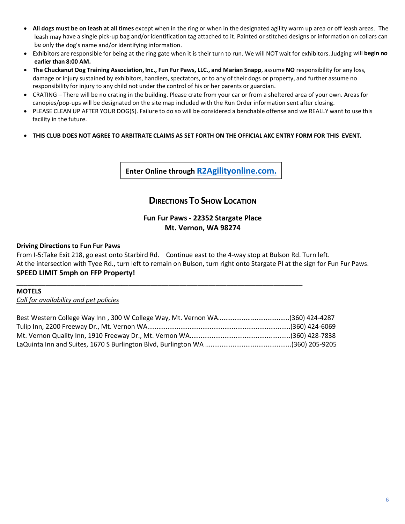- **All dogs must be on leash at all times** except when in the ring or when in the designated agility warm up area or off leash areas. The leash may have a single pick-up bag and/or identification tag attached to it. Painted or stitched designs or information on collars can be only the dog's name and/or identifying information.
- Exhibitors are responsible for being at the ring gate when it is their turn to run. We will NOT wait for exhibitors. Judging will **begin no earlier than 8:00 AM.**
- **The Chuckanut Dog Training Association, Inc., Fun Fur Paws, LLC., and Marian Snapp**, assume **NO** responsibility for any loss, damage or injury sustained by exhibitors, handlers, spectators, or to any of their dogs or property, and further assume no responsibility for injury to any child not under the control of his or her parents or guardian.
- CRATING There will be no crating in the building. Please crate from your car or from a sheltered area of your own. Areas for canopies/pop-ups will be designated on the site map included with the Run Order information sent after closing.
- PLEASE CLEAN UP AFTER YOUR DOG(S). Failure to do so will be considered a benchable offense and we REALLY want to use this facility in the future.
- THIS CLUB DOES NOT AGREE TO ARBITRATE CLAIMS AS SET FORTH ON THE OFFICIAL AKC ENTRY FORM FOR THIS EVENT.

**Enter Online through [R2Agilityonline.com.](https://r2agilityonline.com/)**

# **DIRECTIONS T<sup>O</sup> SHOW LOCATION**

## **Fun Fur Paws - 22352 Stargate Place Mt. Vernon, WA 98274**

## **Driving Directions to Fun Fur Paws**

From I-5:Take Exit 218, go east onto Starbird Rd. Continue east to the 4-way stop at Bulson Rd. Turn left. At the intersection with Tyee Rd., turn left to remain on Bulson, turn right onto Stargate Pl at the sign for Fun Fur Paws. **SPEED LIMIT 5mph on FFP Property!**

## **MOTELS**

*Call for availability and pet policies*

\_\_\_\_\_\_\_\_\_\_\_\_\_\_\_\_\_\_\_\_\_\_\_\_\_\_\_\_\_\_\_\_\_\_\_\_\_\_\_\_\_\_\_\_\_\_\_\_\_\_\_\_\_\_\_\_\_\_\_\_\_\_\_\_\_\_\_\_\_\_\_\_\_\_\_\_\_\_\_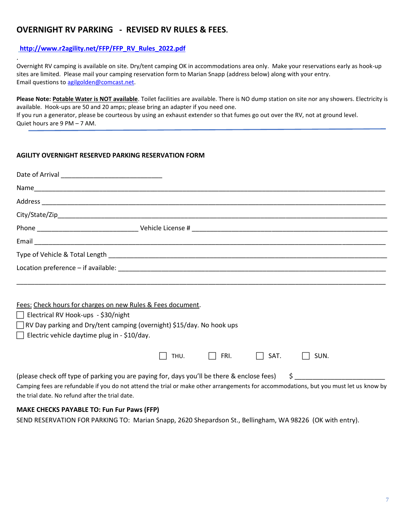## **OVERNIGHT RV PARKING - REVISED RV RULES & FEES.**

## **[http://www.r2agility.net/FFP/FFP\\_RV\\_Rules\\_2022.pdf](http://www.r2agility.net/FFP/FFP_RV_Rules_2022.pdf)**

.

Overnight RV camping is available on site. Dry/tent camping OK in accommodations area only. Make your reservations early as hook-up sites are limited. Please mail your camping reservation form to Marian Snapp (address below) along with your entry. Email questions to [agilgolden@comcast.net.](mailto:agilgolden@comcast.net)

**Please Note: Potable Water is NOT available**. Toilet facilities are available. There is NO dump station on site nor any showers. Electricity is available. Hook-ups are 50 and 20 amps; please bring an adapter if you need one.

If you run a generator, please be courteous by using an exhaust extender so that fumes go out over the RV, not at ground level. Quiet hours are 9 PM – 7 AM.

## **AGILITY OVERNIGHT RESERVED PARKING RESERVATION FORM**

| Fees: Check hours for charges on new Rules & Fees document.<br>$\Box$ Electrical RV Hook-ups - \$30/night<br>Electric vehicle daytime plug in - \$10/day. | □ RV Day parking and Dry/tent camping (overnight) \$15/day. No hook ups                                                                                                                                                                            |
|-----------------------------------------------------------------------------------------------------------------------------------------------------------|----------------------------------------------------------------------------------------------------------------------------------------------------------------------------------------------------------------------------------------------------|
|                                                                                                                                                           | $\Box$ SAT.<br>THU. $\Box$ FRI.<br>$\Box$ SUN.                                                                                                                                                                                                     |
| the trial date. No refund after the trial date.<br><b>MAKE CHECKS PAYABLE TO: Fun Fur Paws (FFP)</b>                                                      | Camping fees are refundable if you do not attend the trial or make other arrangements for accommodations, but you must let us know by<br>SEND RESERVATION FOR PARKING TO: Marian Snapp, 2620 Shepardson St., Bellingham, WA 98226 (OK with entry). |